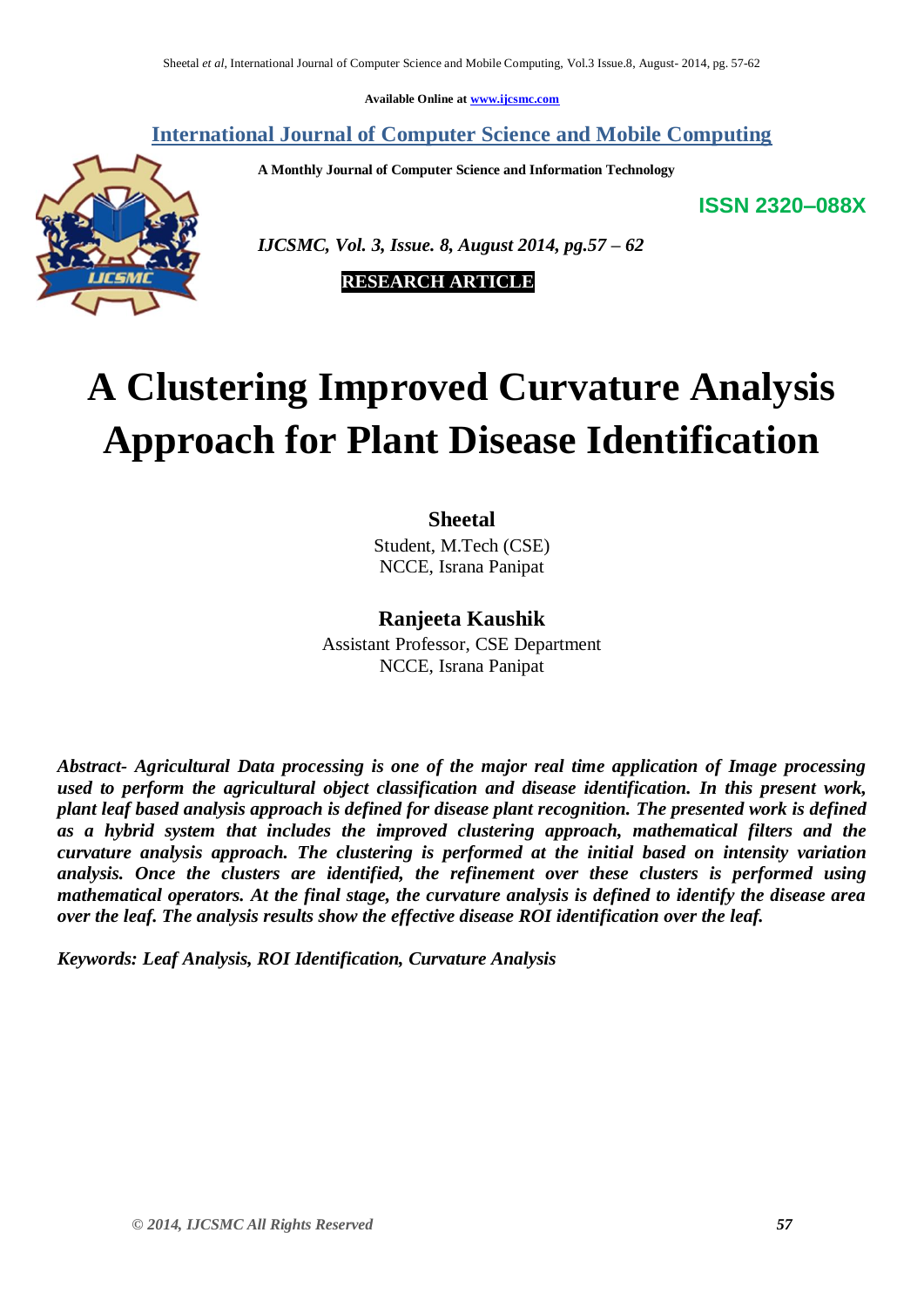**Available Online at [www.ijcsmc.com](http://www.ijcsmc.com/)**

# **International Journal of Computer Science and Mobile Computing**

 **A Monthly Journal of Computer Science and Information Technology**

**ISSN 2320–088X**



 *IJCSMC, Vol. 3, Issue. 8, August 2014, pg.57 – 62*

 **RESEARCH ARTICLE**

# **A Clustering Improved Curvature Analysis Approach for Plant Disease Identification**

# **Sheetal**

Student, M.Tech (CSE) NCCE, Israna Panipat

# **Ranjeeta Kaushik**

Assistant Professor, CSE Department NCCE, Israna Panipat

*Abstract- Agricultural Data processing is one of the major real time application of Image processing used to perform the agricultural object classification and disease identification. In this present work, plant leaf based analysis approach is defined for disease plant recognition. The presented work is defined as a hybrid system that includes the improved clustering approach, mathematical filters and the curvature analysis approach. The clustering is performed at the initial based on intensity variation analysis. Once the clusters are identified, the refinement over these clusters is performed using mathematical operators. At the final stage, the curvature analysis is defined to identify the disease area over the leaf. The analysis results show the effective disease ROI identification over the leaf.* 

*Keywords: Leaf Analysis, ROI Identification, Curvature Analysis*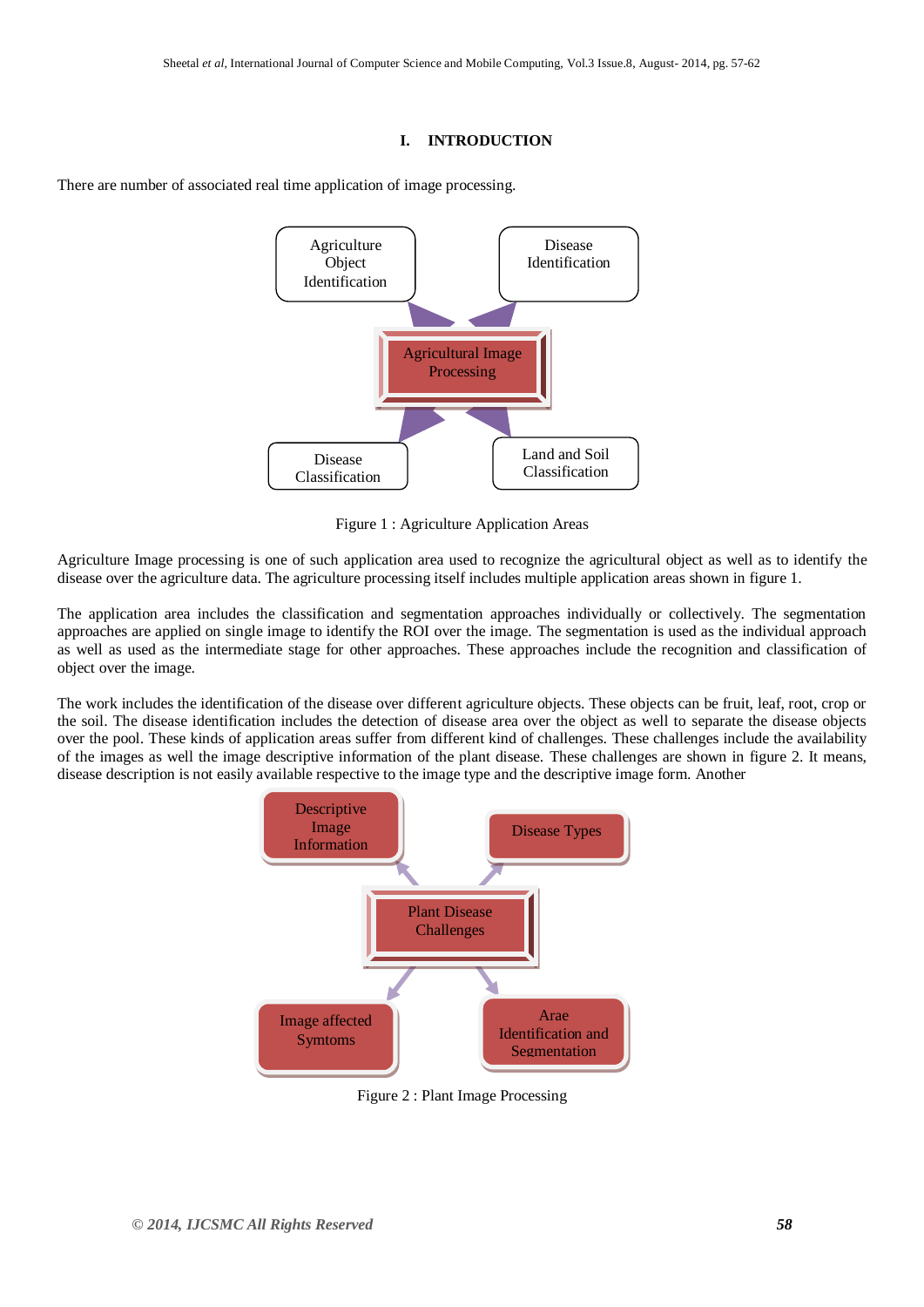#### **I. INTRODUCTION**



There are number of associated real time application of image processing.

Figure 1 : Agriculture Application Areas

Agriculture Image processing is one of such application area used to recognize the agricultural object as well as to identify the disease over the agriculture data. The agriculture processing itself includes multiple application areas shown in figure 1.

The application area includes the classification and segmentation approaches individually or collectively. The segmentation approaches are applied on single image to identify the ROI over the image. The segmentation is used as the individual approach as well as used as the intermediate stage for other approaches. These approaches include the recognition and classification of object over the image.

The work includes the identification of the disease over different agriculture objects. These objects can be fruit, leaf, root, crop or the soil. The disease identification includes the detection of disease area over the object as well to separate the disease objects over the pool. These kinds of application areas suffer from different kind of challenges. These challenges include the availability of the images as well the image descriptive information of the plant disease. These challenges are shown in figure 2. It means, disease description is not easily available respective to the image type and the descriptive image form. Another



Figure 2 : Plant Image Processing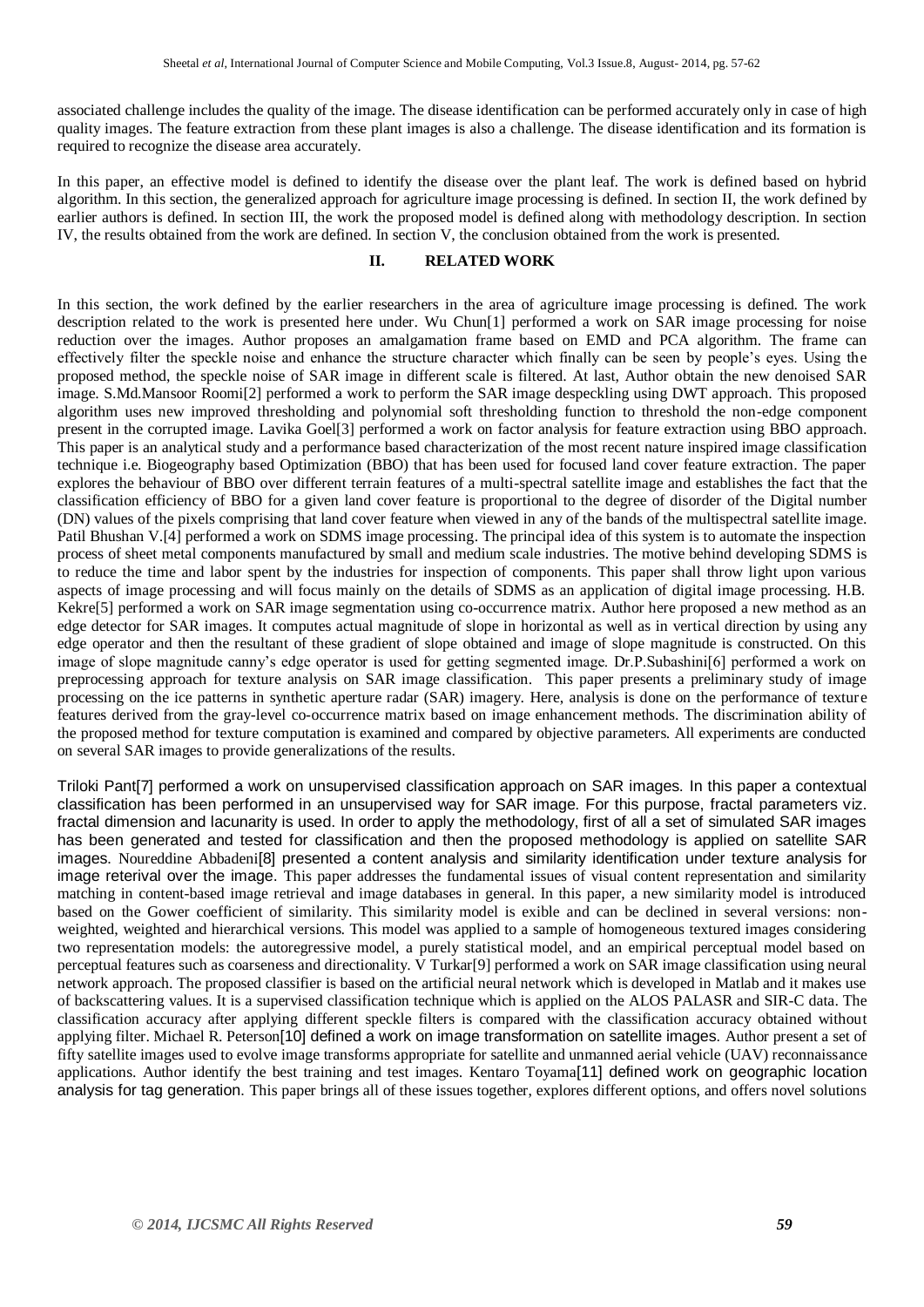associated challenge includes the quality of the image. The disease identification can be performed accurately only in case of high quality images. The feature extraction from these plant images is also a challenge. The disease identification and its formation is required to recognize the disease area accurately.

In this paper, an effective model is defined to identify the disease over the plant leaf. The work is defined based on hybrid algorithm. In this section, the generalized approach for agriculture image processing is defined. In section II, the work defined by earlier authors is defined. In section III, the work the proposed model is defined along with methodology description. In section IV, the results obtained from the work are defined. In section V, the conclusion obtained from the work is presented.

## **II. RELATED WORK**

In this section, the work defined by the earlier researchers in the area of agriculture image processing is defined. The work description related to the work is presented here under. Wu Chun[1] performed a work on SAR image processing for noise reduction over the images. Author proposes an amalgamation frame based on EMD and PCA algorithm. The frame can effectively filter the speckle noise and enhance the structure character which finally can be seen by people's eyes. Using the proposed method, the speckle noise of SAR image in different scale is filtered. At last, Author obtain the new denoised SAR image. S.Md.Mansoor Roomi[2] performed a work to perform the SAR image despeckling using DWT approach. This proposed algorithm uses new improved thresholding and polynomial soft thresholding function to threshold the non-edge component present in the corrupted image. Lavika Goel[3] performed a work on factor analysis for feature extraction using BBO approach. This paper is an analytical study and a performance based characterization of the most recent nature inspired image classification technique i.e. Biogeography based Optimization (BBO) that has been used for focused land cover feature extraction. The paper explores the behaviour of BBO over different terrain features of a multi-spectral satellite image and establishes the fact that the classification efficiency of BBO for a given land cover feature is proportional to the degree of disorder of the Digital number (DN) values of the pixels comprising that land cover feature when viewed in any of the bands of the multispectral satellite image. Patil Bhushan V.[4] performed a work on SDMS image processing. The principal idea of this system is to automate the inspection process of sheet metal components manufactured by small and medium scale industries. The motive behind developing SDMS is to reduce the time and labor spent by the industries for inspection of components. This paper shall throw light upon various aspects of image processing and will focus mainly on the details of SDMS as an application of digital image processing. H.B. Kekre[5] performed a work on SAR image segmentation using co-occurrence matrix. Author here proposed a new method as an edge detector for SAR images. It computes actual magnitude of slope in horizontal as well as in vertical direction by using any edge operator and then the resultant of these gradient of slope obtained and image of slope magnitude is constructed. On this image of slope magnitude canny's edge operator is used for getting segmented image. Dr.P.Subashini[6] performed a work on preprocessing approach for texture analysis on SAR image classification. This paper presents a preliminary study of image processing on the ice patterns in synthetic aperture radar (SAR) imagery. Here, analysis is done on the performance of texture features derived from the gray-level co-occurrence matrix based on image enhancement methods. The discrimination ability of the proposed method for texture computation is examined and compared by objective parameters. All experiments are conducted on several SAR images to provide generalizations of the results.

Triloki Pant[7] performed a work on unsupervised classification approach on SAR images. In this paper a contextual classification has been performed in an unsupervised way for SAR image. For this purpose, fractal parameters viz. fractal dimension and lacunarity is used. In order to apply the methodology, first of all a set of simulated SAR images has been generated and tested for classification and then the proposed methodology is applied on satellite SAR images. Noureddine Abbadeni[8] presented a content analysis and similarity identification under texture analysis for image reterival over the image. This paper addresses the fundamental issues of visual content representation and similarity matching in content-based image retrieval and image databases in general. In this paper, a new similarity model is introduced based on the Gower coefficient of similarity. This similarity model is exible and can be declined in several versions: nonweighted, weighted and hierarchical versions. This model was applied to a sample of homogeneous textured images considering two representation models: the autoregressive model, a purely statistical model, and an empirical perceptual model based on perceptual features such as coarseness and directionality. V Turkar[9] performed a work on SAR image classification using neural network approach. The proposed classifier is based on the artificial neural network which is developed in Matlab and it makes use of backscattering values. It is a supervised classification technique which is applied on the ALOS PALASR and SIR-C data. The classification accuracy after applying different speckle filters is compared with the classification accuracy obtained without applying filter. Michael R. Peterson[10] defined a work on image transformation on satellite images. Author present a set of fifty satellite images used to evolve image transforms appropriate for satellite and unmanned aerial vehicle (UAV) reconnaissance applications. Author identify the best training and test images. Kentaro Toyama[11] defined work on geographic location analysis for tag generation. This paper brings all of these issues together, explores different options, and offers novel solutions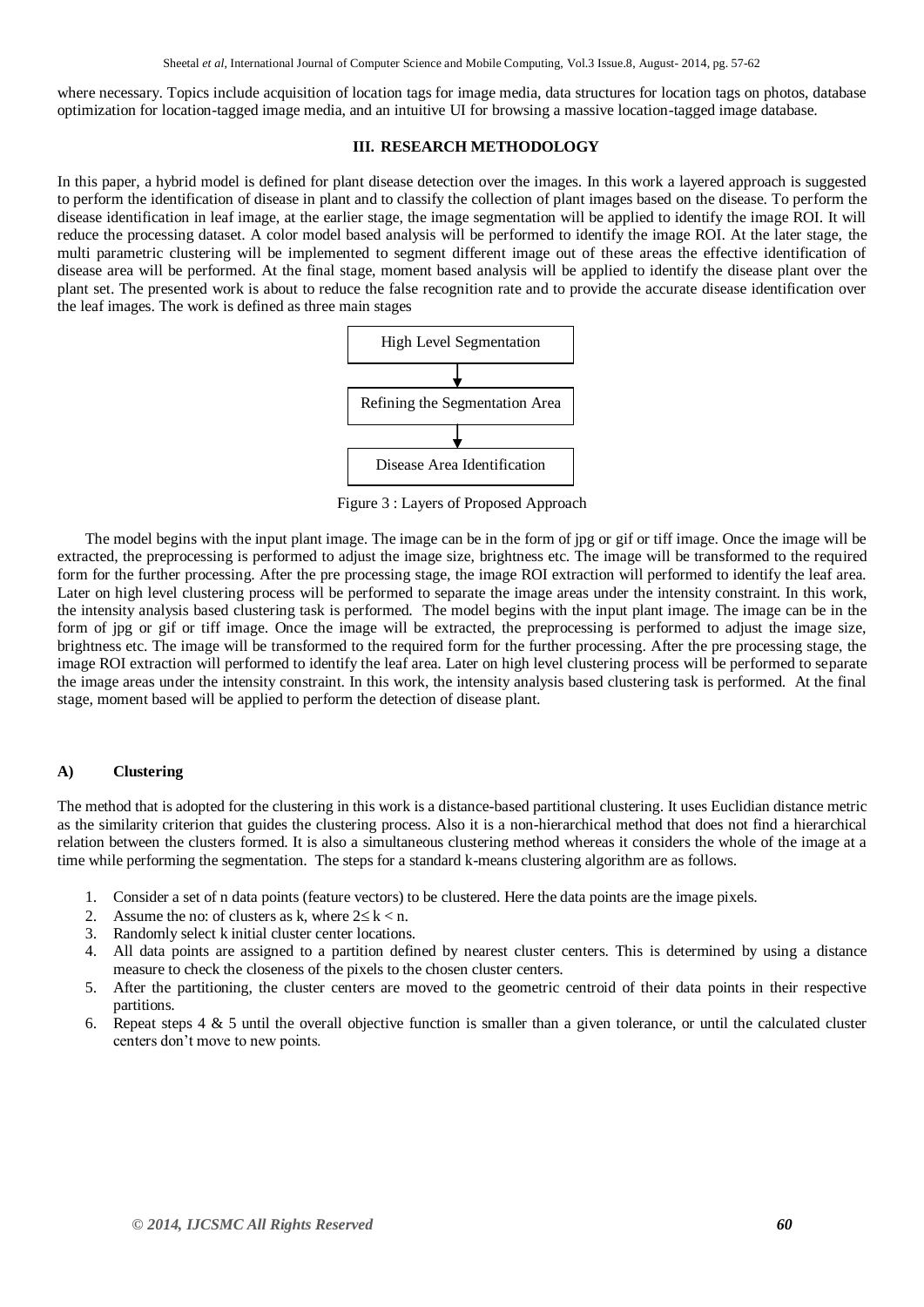where necessary. Topics include acquisition of location tags for image media, data structures for location tags on photos, database optimization for location-tagged image media, and an intuitive UI for browsing a massive location-tagged image database.

#### **III. RESEARCH METHODOLOGY**

In this paper, a hybrid model is defined for plant disease detection over the images. In this work a layered approach is suggested to perform the identification of disease in plant and to classify the collection of plant images based on the disease. To perform the disease identification in leaf image, at the earlier stage, the image segmentation will be applied to identify the image ROI. It will reduce the processing dataset. A color model based analysis will be performed to identify the image ROI. At the later stage, the multi parametric clustering will be implemented to segment different image out of these areas the effective identification of disease area will be performed. At the final stage, moment based analysis will be applied to identify the disease plant over the plant set. The presented work is about to reduce the false recognition rate and to provide the accurate disease identification over the leaf images. The work is defined as three main stages



Figure 3 : Layers of Proposed Approach

The model begins with the input plant image. The image can be in the form of jpg or gif or tiff image. Once the image will be extracted, the preprocessing is performed to adjust the image size, brightness etc. The image will be transformed to the required form for the further processing. After the pre processing stage, the image ROI extraction will performed to identify the leaf area. Later on high level clustering process will be performed to separate the image areas under the intensity constraint. In this work, the intensity analysis based clustering task is performed. The model begins with the input plant image. The image can be in the form of jpg or gif or tiff image. Once the image will be extracted, the preprocessing is performed to adjust the image size, brightness etc. The image will be transformed to the required form for the further processing. After the pre processing stage, the image ROI extraction will performed to identify the leaf area. Later on high level clustering process will be performed to separate the image areas under the intensity constraint. In this work, the intensity analysis based clustering task is performed. At the final stage, moment based will be applied to perform the detection of disease plant.

### **A) Clustering**

The method that is adopted for the clustering in this work is a distance-based partitional clustering. It uses Euclidian distance metric as the similarity criterion that guides the clustering process. Also it is a non-hierarchical method that does not find a hierarchical relation between the clusters formed. It is also a simultaneous clustering method whereas it considers the whole of the image at a time while performing the segmentation. The steps for a standard k-means clustering algorithm are as follows.

- 1. Consider a set of n data points (feature vectors) to be clustered. Here the data points are the image pixels.
- 2. Assume the no: of clusters as k, where  $2 \le k < n$ .
- 3. Randomly select k initial cluster center locations.
- 4. All data points are assigned to a partition defined by nearest cluster centers. This is determined by using a distance measure to check the closeness of the pixels to the chosen cluster centers.
- 5. After the partitioning, the cluster centers are moved to the geometric centroid of their data points in their respective partitions.
- 6. Repeat steps  $4 \& 5$  until the overall objective function is smaller than a given tolerance, or until the calculated cluster centers don't move to new points.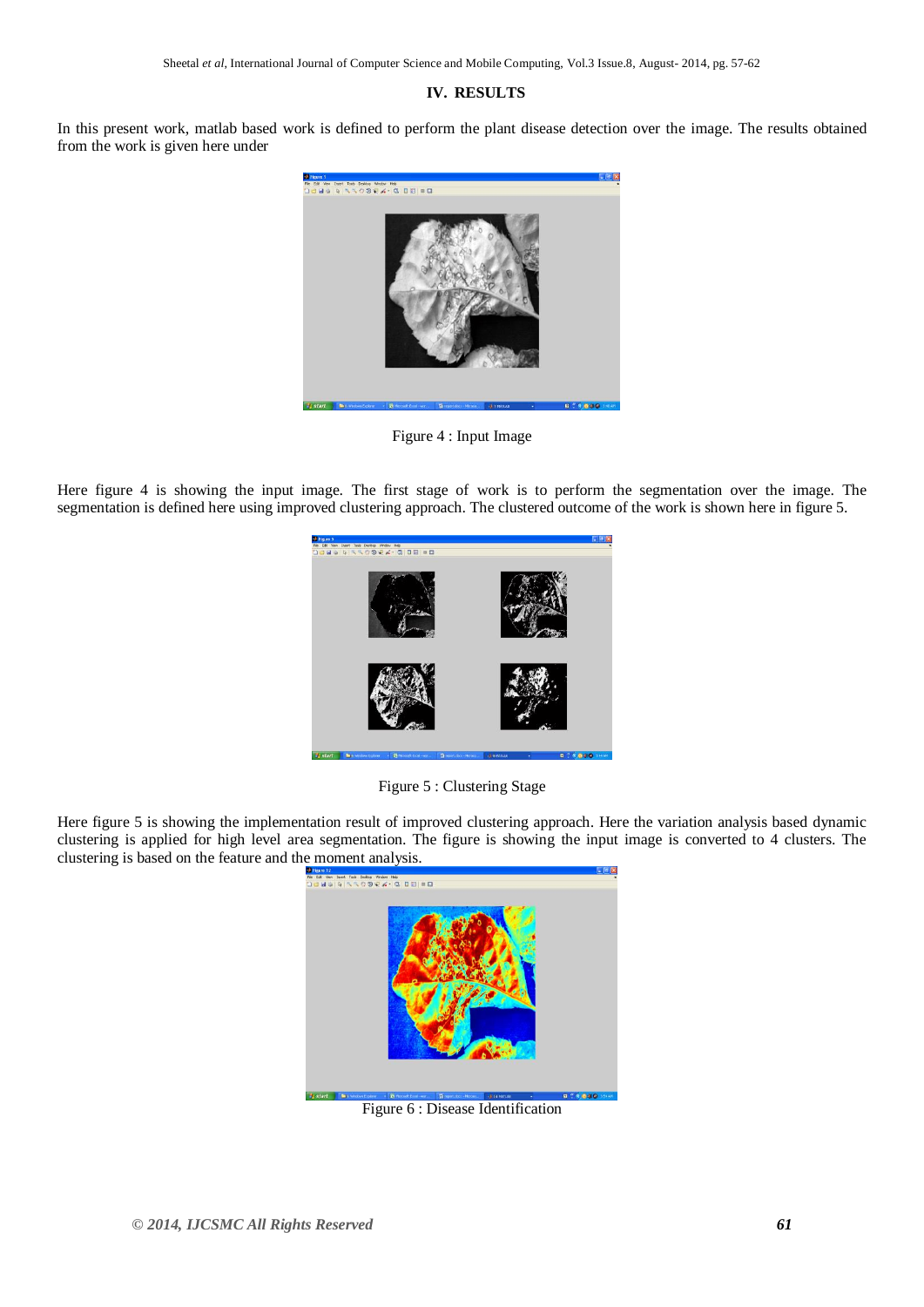## **IV. RESULTS**

In this present work, matlab based work is defined to perform the plant disease detection over the image. The results obtained from the work is given here under



Figure 4 : Input Image

Here figure 4 is showing the input image. The first stage of work is to perform the segmentation over the image. The segmentation is defined here using improved clustering approach. The clustered outcome of the work is shown here in figure 5.



Figure 5 : Clustering Stage

Here figure 5 is showing the implementation result of improved clustering approach. Here the variation analysis based dynamic clustering is applied for high level area segmentation. The figure is showing the input image is converted to 4 clusters. The clustering is based on the feature and the moment analysis.



Figure 6 : Disease Identification